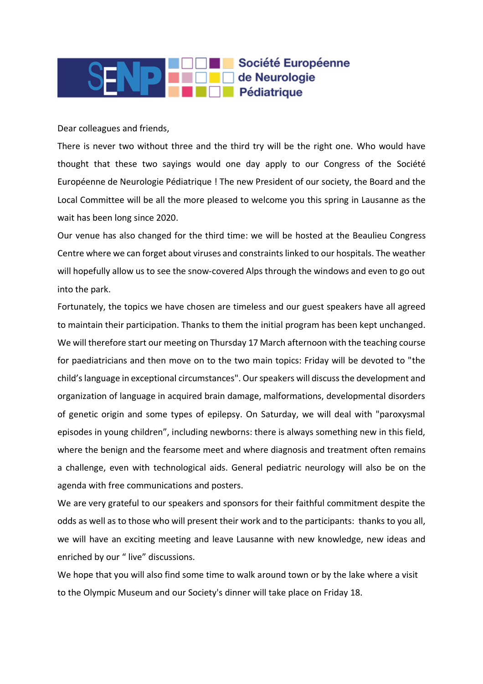## Société Européenne de Neurologie Pédiatrique

## Dear colleagues and friends,

There is never two without three and the third try will be the right one. Who would have thought that these two sayings would one day apply to our Congress of the Société Européenne de Neurologie Pédiatrique ! The new President of our society, the Board and the Local Committee will be all the more pleased to welcome you this spring in Lausanne as the wait has been long since 2020.

Our venue has also changed for the third time: we will be hosted at the Beaulieu Congress Centre where we can forget about viruses and constraints linked to our hospitals. The weather will hopefully allow us to see the snow-covered Alps through the windows and even to go out into the park.

Fortunately, the topics we have chosen are timeless and our guest speakers have all agreed to maintain their participation. Thanks to them the initial program has been kept unchanged. We will therefore start our meeting on Thursday 17 March afternoon with the teaching course for paediatricians and then move on to the two main topics: Friday will be devoted to "the child's language in exceptional circumstances". Our speakers will discuss the development and organization of language in acquired brain damage, malformations, developmental disorders of genetic origin and some types of epilepsy. On Saturday, we will deal with "paroxysmal episodes in young children", including newborns: there is always something new in this field, where the benign and the fearsome meet and where diagnosis and treatment often remains a challenge, even with technological aids. General pediatric neurology will also be on the agenda with free communications and posters.

We are very grateful to our speakers and sponsors for their faithful commitment despite the odds as well as to those who will present their work and to the participants: thanks to you all, we will have an exciting meeting and leave Lausanne with new knowledge, new ideas and enriched by our " live" discussions.

We hope that you will also find some time to walk around town or by the lake where a visit to the Olympic Museum and our Society's dinner will take place on Friday 18.